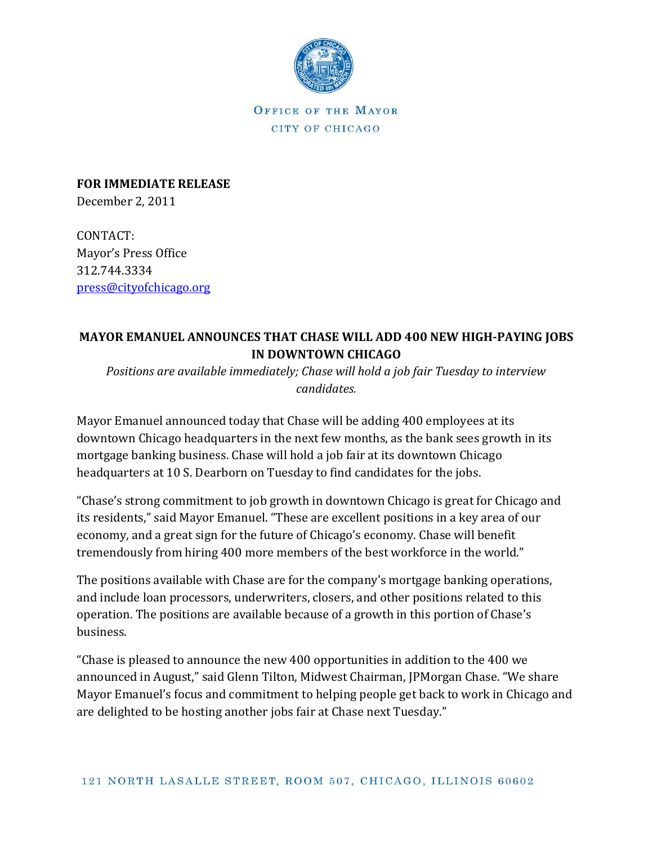

OFFICE OF THE MAYOR CITY OF CHICAGO

**FOR IMMEDIATE RELEASE** December 2, 2011

CONTACT: Mayor's Press Office 312.744.3334 [press@cityofchicago.org](mailto:press@cityofchicago.org)

## **MAYOR EMANUEL ANNOUNCES THAT CHASE WILL ADD 400 NEW HIGH-PAYING JOBS IN DOWNTOWN CHICAGO**

*Positions are available immediately; Chase will hold a job fair Tuesday to interview candidates.*

Mayor Emanuel announced today that Chase will be adding 400 employees at its downtown Chicago headquarters in the next few months, as the bank sees growth in its mortgage banking business. Chase will hold a job fair at its downtown Chicago headquarters at 10 S. Dearborn on Tuesday to find candidates for the jobs.

"Chase's strong commitment to job growth in downtown Chicago is great for Chicago and its residents," said Mayor Emanuel. "These are excellent positions in a key area of our economy, and a great sign for the future of Chicago's economy. Chase will benefit tremendously from hiring 400 more members of the best workforce in the world."

The positions available with Chase are for the company's mortgage banking operations, and include loan processors, underwriters, closers, and other positions related to this operation. The positions are available because of a growth in this portion of Chase's business.

"Chase is pleased to announce the new 400 opportunities in addition to the 400 we announced in August," said Glenn Tilton, Midwest Chairman, JPMorgan Chase. "We share Mayor Emanuel's focus and commitment to helping people get back to work in Chicago and are delighted to be hosting another jobs fair at Chase next Tuesday."